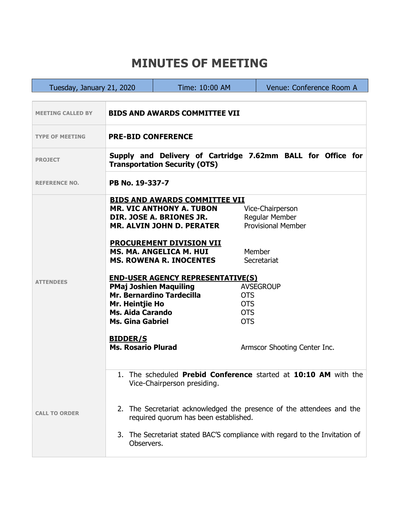## **MINUTES OF MEETING**

г

| Tuesday, January 21, 2020 |                                                                                                                                                                                                                                                                                                                          | Time: 10:00 AM                                                                                                                                                                                                                                                                                            | Venue: Conference Room A                                                                                                                                                                             |  |  |
|---------------------------|--------------------------------------------------------------------------------------------------------------------------------------------------------------------------------------------------------------------------------------------------------------------------------------------------------------------------|-----------------------------------------------------------------------------------------------------------------------------------------------------------------------------------------------------------------------------------------------------------------------------------------------------------|------------------------------------------------------------------------------------------------------------------------------------------------------------------------------------------------------|--|--|
|                           |                                                                                                                                                                                                                                                                                                                          |                                                                                                                                                                                                                                                                                                           |                                                                                                                                                                                                      |  |  |
| <b>MEETING CALLED BY</b>  | <b>BIDS AND AWARDS COMMITTEE VII</b>                                                                                                                                                                                                                                                                                     |                                                                                                                                                                                                                                                                                                           |                                                                                                                                                                                                      |  |  |
| <b>TYPE OF MEETING</b>    | <b>PRE-BID CONFERENCE</b>                                                                                                                                                                                                                                                                                                |                                                                                                                                                                                                                                                                                                           |                                                                                                                                                                                                      |  |  |
| <b>PROJECT</b>            | Supply and Delivery of Cartridge 7.62mm BALL for Office for<br><b>Transportation Security (OTS)</b>                                                                                                                                                                                                                      |                                                                                                                                                                                                                                                                                                           |                                                                                                                                                                                                      |  |  |
| <b>REFERENCE NO.</b>      | PB No. 19-337-7                                                                                                                                                                                                                                                                                                          |                                                                                                                                                                                                                                                                                                           |                                                                                                                                                                                                      |  |  |
| <b>ATTENDEES</b>          | <b>PMaj Joshien Maquiling</b><br>Mr. Heintjie Ho<br><b>Ms. Aida Carando</b><br><b>Ms. Gina Gabriel</b><br><b>BIDDER/S</b><br><b>Ms. Rosario Plurad</b>                                                                                                                                                                   | <b>BIDS AND AWARDS COMMITTEE VII</b><br><b>MR. VIC ANTHONY A. TUBON</b><br>DIR. JOSE A. BRIONES JR.<br>MR. ALVIN JOHN D. PERATER<br><b>PROCUREMENT DIVISION VII</b><br>MS. MA. ANGELICA M. HUI<br><b>MS. ROWENA R. INOCENTES</b><br><b>END-USER AGENCY REPRESENTATIVE(S)</b><br>Mr. Bernardino Tardecilla | Vice-Chairperson<br>Regular Member<br><b>Provisional Member</b><br>Member<br>Secretariat<br><b>AVSEGROUP</b><br><b>OTS</b><br><b>OTS</b><br><b>OTS</b><br><b>OTS</b><br>Armscor Shooting Center Inc. |  |  |
| <b>CALL TO ORDER</b>      | The scheduled <b>Prebid Conference</b> started at <b>10:10 AM</b> with the<br>Vice-Chairperson presiding.<br>2. The Secretariat acknowledged the presence of the attendees and the<br>required quorum has been established.<br>3. The Secretariat stated BAC'S compliance with regard to the Invitation of<br>Observers. |                                                                                                                                                                                                                                                                                                           |                                                                                                                                                                                                      |  |  |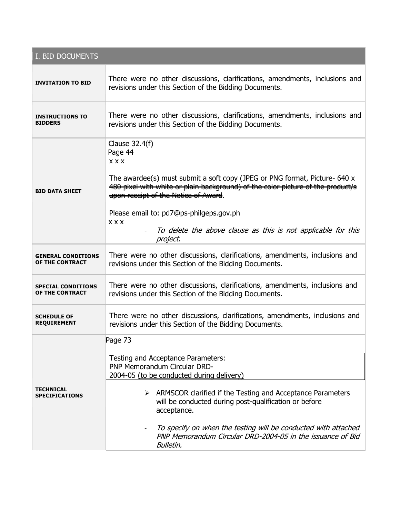| I. BID DOCUMENTS                             |                                                                                                                                                                                                          |  |  |  |  |
|----------------------------------------------|----------------------------------------------------------------------------------------------------------------------------------------------------------------------------------------------------------|--|--|--|--|
| <b>INVITATION TO BID</b>                     | There were no other discussions, clarifications, amendments, inclusions and<br>revisions under this Section of the Bidding Documents.                                                                    |  |  |  |  |
| <b>INSTRUCTIONS TO</b><br><b>BIDDERS</b>     | There were no other discussions, clarifications, amendments, inclusions and<br>revisions under this Section of the Bidding Documents.                                                                    |  |  |  |  |
| <b>BID DATA SHEET</b>                        | Clause 32.4(f)<br>Page 44<br><b>XXX</b><br>The awardee(s) must submit a soft copy (JPEG or PNG format, Picture- 640 x<br>480 pixel with white or plain background) of the color picture of the product/s |  |  |  |  |
|                                              | upon receipt of the Notice of Award.<br>Please email to: pd7@ps-philgeps.gov.ph<br><b>XXX</b><br>To delete the above clause as this is not applicable for this<br>project.                               |  |  |  |  |
| <b>GENERAL CONDITIONS</b><br>OF THE CONTRACT | There were no other discussions, clarifications, amendments, inclusions and<br>revisions under this Section of the Bidding Documents.                                                                    |  |  |  |  |
| <b>SPECIAL CONDITIONS</b><br>OF THE CONTRACT | There were no other discussions, clarifications, amendments, inclusions and<br>revisions under this Section of the Bidding Documents.                                                                    |  |  |  |  |
| <b>SCHEDULE OF</b><br><b>REQUIREMENT</b>     | There were no other discussions, clarifications, amendments, inclusions and<br>revisions under this Section of the Bidding Documents.                                                                    |  |  |  |  |
| <b>TECHNICAL</b><br><b>SPECIFICATIONS</b>    | Page 73<br>Testing and Acceptance Parameters:                                                                                                                                                            |  |  |  |  |
|                                              | PNP Memorandum Circular DRD-<br>2004-05 (to be conducted during delivery)                                                                                                                                |  |  |  |  |
|                                              | $\triangleright$ ARMSCOR clarified if the Testing and Acceptance Parameters<br>will be conducted during post-qualification or before<br>acceptance.                                                      |  |  |  |  |
|                                              | To specify on when the testing will be conducted with attached<br>$\overline{\phantom{a}}$<br>PNP Memorandum Circular DRD-2004-05 in the issuance of Bid<br><b>Bulletin.</b>                             |  |  |  |  |

the contract of the contract of the contract of the contract of the contract of the contract of the contract of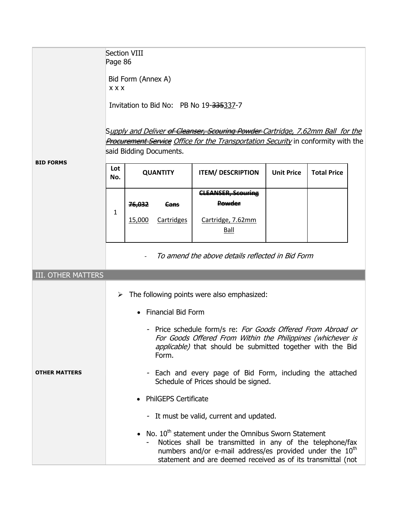|                           | <b>Section VIII</b><br>Page 86<br>Bid Form (Annex A)<br><b>XXX</b><br>Invitation to Bid No: PB No 19-335337-7<br>S <u>upply and Deliver <del>of Cleanser, Scouring Powder</del> Cartridge, 7.62mm Ball  for the</u><br><b>Procurement Service</b> Office for the Transportation Security in conformity with the<br>said Bidding Documents. |                                    |                               |                                                                         |                   |                    |  |
|---------------------------|--------------------------------------------------------------------------------------------------------------------------------------------------------------------------------------------------------------------------------------------------------------------------------------------------------------------------------------------|------------------------------------|-------------------------------|-------------------------------------------------------------------------|-------------------|--------------------|--|
| <b>BID FORMS</b>          | Lot<br>No.                                                                                                                                                                                                                                                                                                                                 | <b>QUANTITY</b>                    |                               | <b>ITEM/ DESCRIPTION</b>                                                | <b>Unit Price</b> | <b>Total Price</b> |  |
|                           | 1                                                                                                                                                                                                                                                                                                                                          | <del>76,032</del><br><u>15,000</u> | <del>Cans</del><br>Cartridges | <b>CLEANSER, Scouring</b><br><b>Powder</b><br>Cartridge, 7.62mm<br>Ball |                   |                    |  |
|                           |                                                                                                                                                                                                                                                                                                                                            |                                    |                               | To amend the above details reflected in Bid Form                        |                   |                    |  |
| <b>III. OTHER MATTERS</b> |                                                                                                                                                                                                                                                                                                                                            |                                    |                               |                                                                         |                   |                    |  |
|                           | The following points were also emphasized:<br>➤                                                                                                                                                                                                                                                                                            |                                    |                               |                                                                         |                   |                    |  |
|                           | <b>Financial Bid Form</b>                                                                                                                                                                                                                                                                                                                  |                                    |                               |                                                                         |                   |                    |  |
|                           | - Price schedule form/s re: For Goods Offered From Abroad or<br>For Goods Offered From Within the Philippines (whichever is<br><i>applicable</i> ) that should be submitted together with the Bid<br>Form.                                                                                                                                 |                                    |                               |                                                                         |                   |                    |  |
| <b>OTHER MATTERS</b>      | - Each and every page of Bid Form, including the attached<br>Schedule of Prices should be signed.                                                                                                                                                                                                                                          |                                    |                               |                                                                         |                   |                    |  |
|                           | <b>PhilGEPS Certificate</b>                                                                                                                                                                                                                                                                                                                |                                    |                               |                                                                         |                   |                    |  |
|                           | - It must be valid, current and updated.                                                                                                                                                                                                                                                                                                   |                                    |                               |                                                                         |                   |                    |  |
|                           | • No. $10^{th}$ statement under the Omnibus Sworn Statement<br>Notices shall be transmitted in any of the telephone/fax<br>numbers and/or e-mail address/es provided under the $10^{th}$<br>statement and are deemed received as of its transmittal (not                                                                                   |                                    |                               |                                                                         |                   |                    |  |